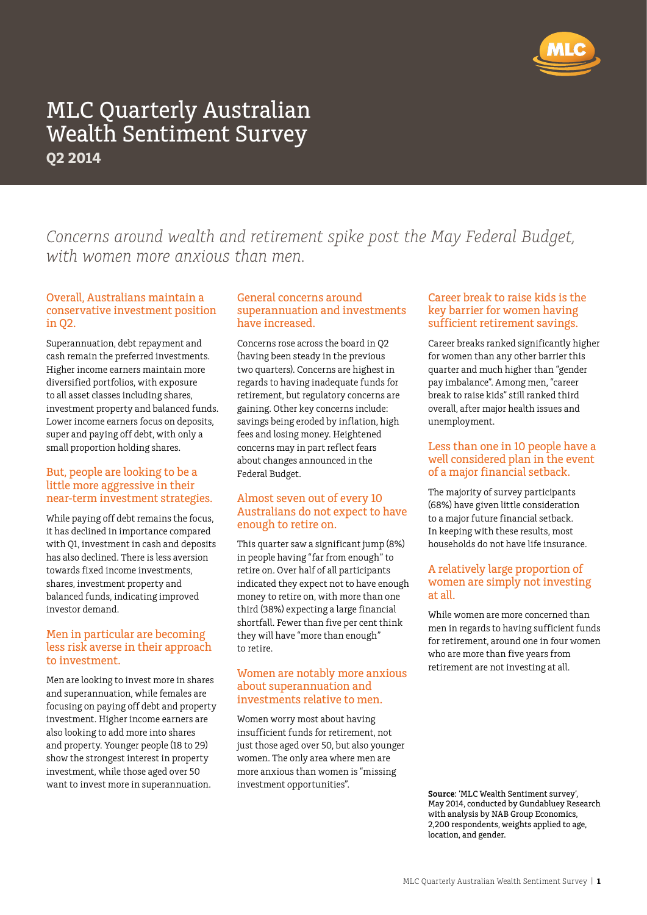

*Concerns around wealth and retirement spike post the May Federal Budget, with women more anxious than men.*

### Overall, Australians maintain a conservative investment position in Q2.

Superannuation, debt repayment and cash remain the preferred investments. Higher income earners maintain more diversified portfolios, with exposure to all asset classes including shares, investment property and balanced funds. Lower income earners focus on deposits, super and paying off debt, with only a small proportion holding shares.

### But, people are looking to be a little more aggressive in their near-term investment strategies.

While paying off debt remains the focus, it has declined in importance compared with Q1, investment in cash and deposits has also declined. There is less aversion towards fixed income investments, shares, investment property and balanced funds, indicating improved investor demand.

### Men in particular are becoming less risk averse in their approach to investment.

Men are looking to invest more in shares and superannuation, while females are focusing on paying off debt and property investment. Higher income earners are also looking to add more into shares and property. Younger people (18 to 29) show the strongest interest in property investment, while those aged over 50 want to invest more in superannuation.

### General concerns around superannuation and investments have increased.

Concerns rose across the board in Q2 (having been steady in the previous two quarters). Concerns are highest in regards to having inadequate funds for retirement, but regulatory concerns are gaining. Other key concerns include: savings being eroded by inflation, high fees and losing money. Heightened concerns may in part reflect fears about changes announced in the Federal Budget.

### Almost seven out of every 10 Australians do not expect to have enough to retire on.

This quarter saw a significant jump (8%) in people having "far from enough" to retire on. Over half of all participants indicated they expect not to have enough money to retire on, with more than one third (38%) expecting a large financial shortfall. Fewer than five per cent think they will have "more than enough" to retire.

### Women are notably more anxious about superannuation and investments relative to men.

Women worry most about having insufficient funds for retirement, not just those aged over 50, but also younger women. The only area where men are more anxious than women is "missing investment opportunities".

### Career break to raise kids is the key barrier for women having sufficient retirement savings.

Career breaks ranked significantly higher for women than any other barrier this quarter and much higher than "gender pay imbalance". Among men, "career break to raise kids" still ranked third overall, after major health issues and unemployment.

### Less than one in 10 people have a well considered plan in the event of a major financial setback.

The majority of survey participants (68%) have given little consideration to a major future financial setback. In keeping with these results, most households do not have life insurance.

### A relatively large proportion of women are simply not investing at all.

While women are more concerned than men in regards to having sufficient funds for retirement, around one in four women who are more than five years from retirement are not investing at all.

**Source**: 'MLC Wealth Sentiment survey', May 2014, conducted by Gundabluey Research with analysis by NAB Group Economics, 2,200 respondents, weights applied to age, location, and gender.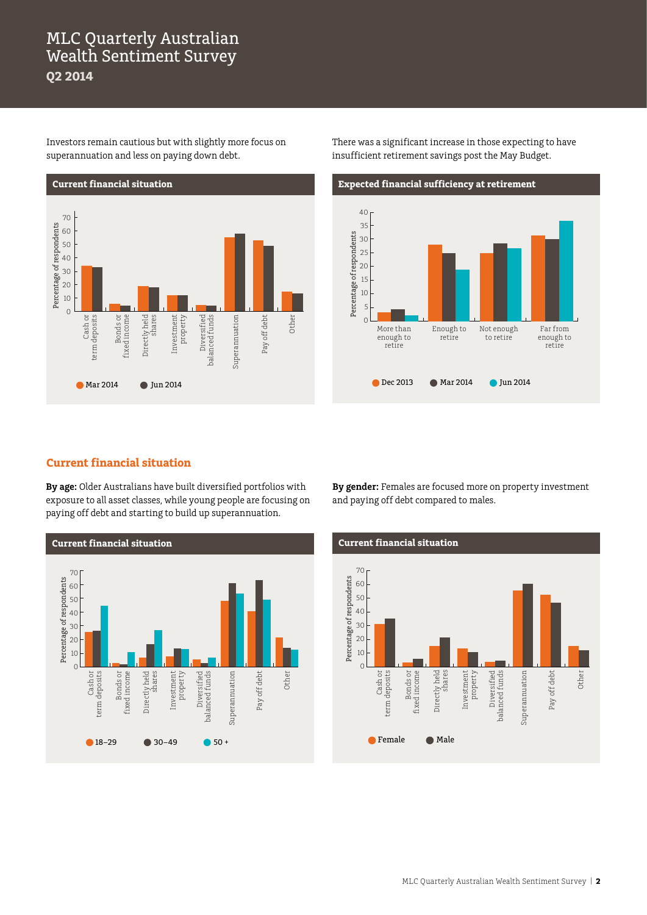Investors remain cautious but with slightly more focus on superannuation and less on paying down debt.



There was a significant increase in those expecting to have insufficient retirement savings post the May Budget.



### **Current financial situation**

**By age:** Older Australians have built diversified portfolios with exposure to all asset classes, while young people are focusing on paying off debt and starting to build up superannuation.



**By gender:** Females are focused more on property investment and paying off debt compared to males.

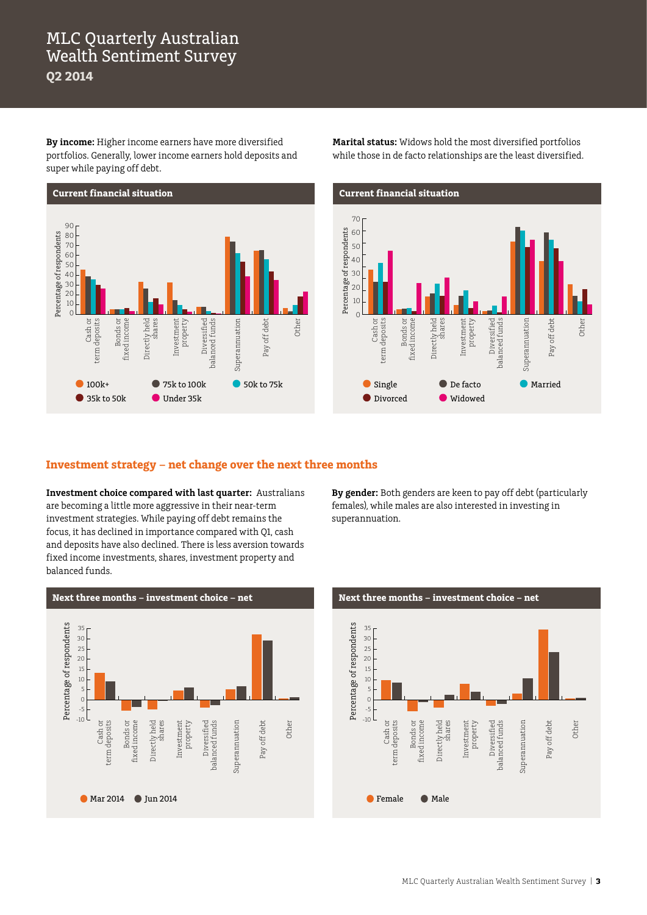**By income:** Higher income earners have more diversified portfolios. Generally, lower income earners hold deposits and super while paying off debt.



**Marital status:** Widows hold the most diversified portfolios while those in de facto relationships are the least diversified.



### **Investment strategy – net change over the next three months**

**Investment choice compared with last quarter:** Australians are becoming a little more aggressive in their near-term investment strategies. While paying off debt remains the focus, it has declined in importance compared with Q1, cash and deposits have also declined. There is less aversion towards fixed income investments, shares, investment property and balanced funds.

**By gender:** Both genders are keen to pay off debt (particularly females), while males are also interested in investing in superannuation.



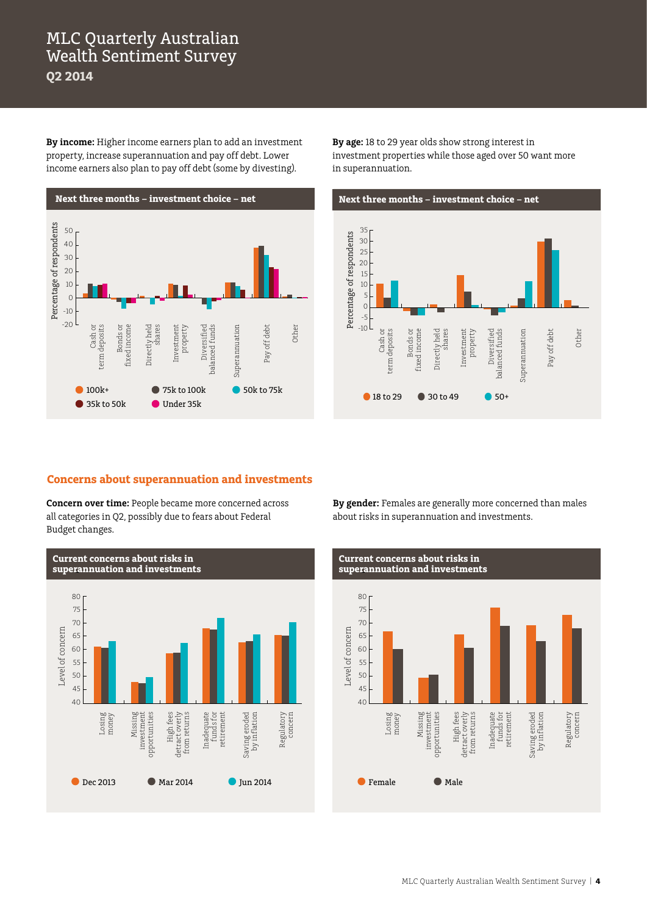**By income:** Higher income earners plan to add an investment property, increase superannuation and pay off debt. Lower income earners also plan to pay off debt (some by divesting).



**By age:** 18 to 29 year olds show strong interest in investment properties while those aged over 50 want more in superannuation.



### **Concerns about superannuation and investments**

**Concern over time:** People became more concerned across all categories in Q2, possibly due to fears about Federal Budget changes.



**By gender:** Females are generally more concerned than males about risks in superannuation and investments.

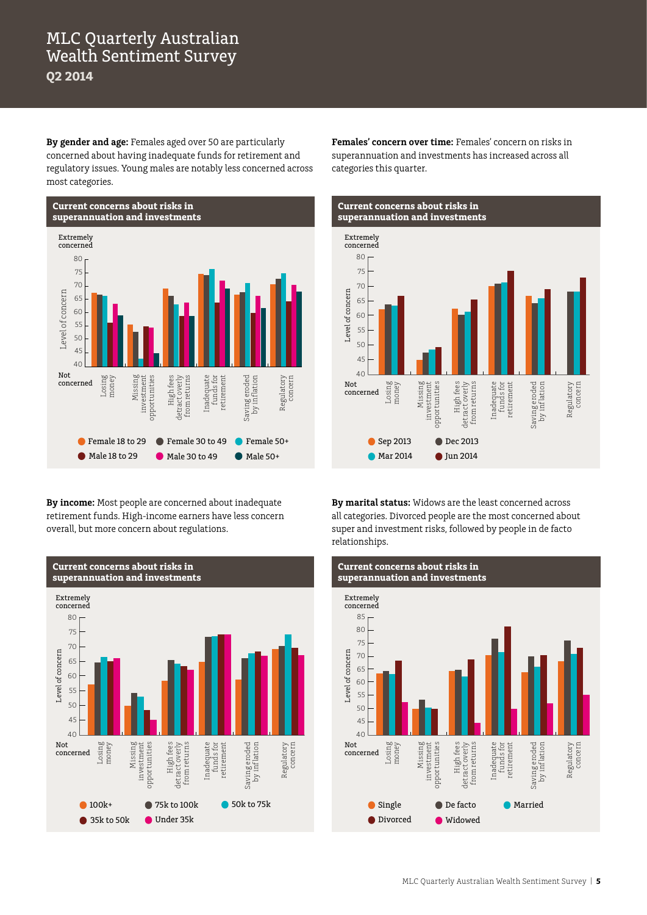**By gender and age:** Females aged over 50 are particularly concerned about having inadequate funds for retirement and regulatory issues. Young males are notably less concerned across most categories.



**By income:** Most people are concerned about inadequate retirement funds. High-income earners have less concern overall, but more concern about regulations.



**Females' concern over time:** Females' concern on risks in superannuation and investments has increased across all categories this quarter.



**By marital status:** Widows are the least concerned across all categories. Divorced people are the most concerned about super and investment risks, followed by people in de facto relationships.

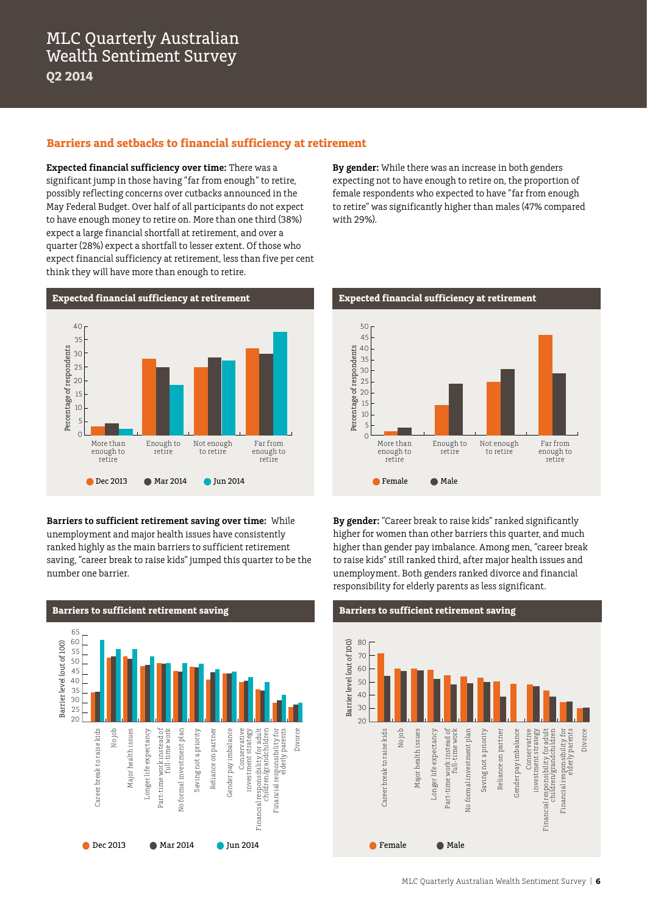### **Barriers and setbacks to financial sufficiency at retirement**

**Expected financial sufficiency over time:** There was a significant jump in those having "far from enough" to retire, possibly reflecting concerns over cutbacks announced in the May Federal Budget. Over half of all participants do not expect to have enough money to retire on. More than one third (38%) expect a large financial shortfall at retirement, and over a quarter (28%) expect a shortfall to lesser extent. Of those who expect financial sufficiency at retirement, less than five per cent think they will have more than enough to retire.



**Barriers to sufficient retirement saving over time:** While unemployment and major health issues have consistently ranked highly as the main barriers to sufficient retirement saving, "career break to raise kids" jumped this quarter to be the number one barrier.



**By gender:** While there was an increase in both genders expecting not to have enough to retire on, the proportion of female respondents who expected to have "far from enough to retire" was significantly higher than males (47% compared with 29%).



**By gender:** "Career break to raise kids" ranked significantly higher for women than other barriers this quarter, and much higher than gender pay imbalance. Among men, "career break to raise kids" still ranked third, after major health issues and unemployment. Both genders ranked divorce and financial responsibility for elderly parents as less significant.

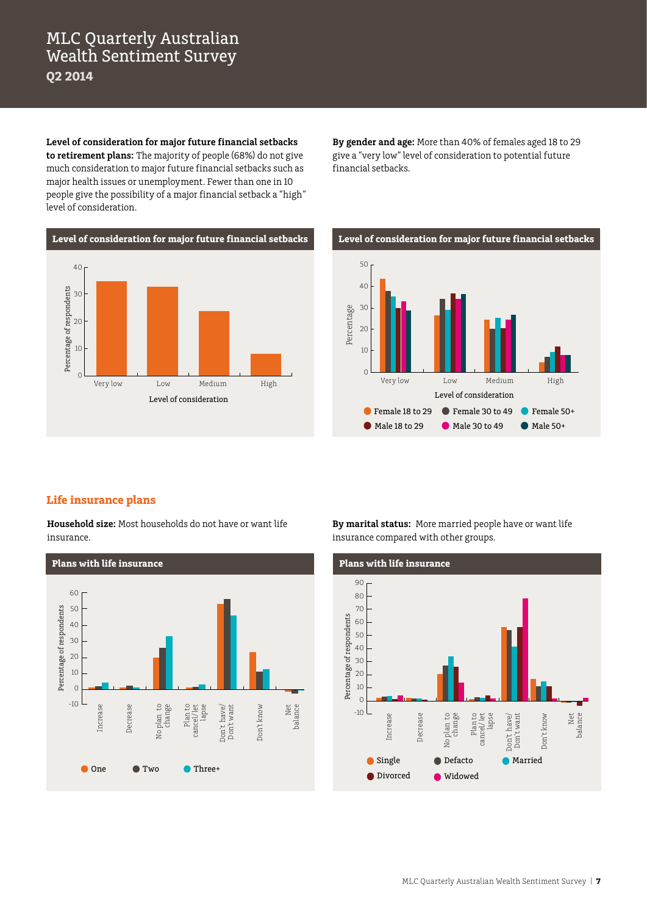**Level of consideration for major future financial setbacks to retirement plans:** The majority of people (68%) do not give much consideration to major future financial setbacks such as major health issues or unemployment. Fewer than one in 10 people give the possibility of a major financial setback a "high" level of consideration.

**Level of consideration for major future financial setbacks** 40 Percentage of respondents Percentage of respondents 30  $20$ 10 0

**By gender and age:** More than 40% of females aged 18 to 29 give a "very low" level of consideration to potential future financial setbacks.



### **Life insurance plans**

**Household size:** Most households do not have or want life insurance.



**By marital status:** More married people have or want life insurance compared with other groups.

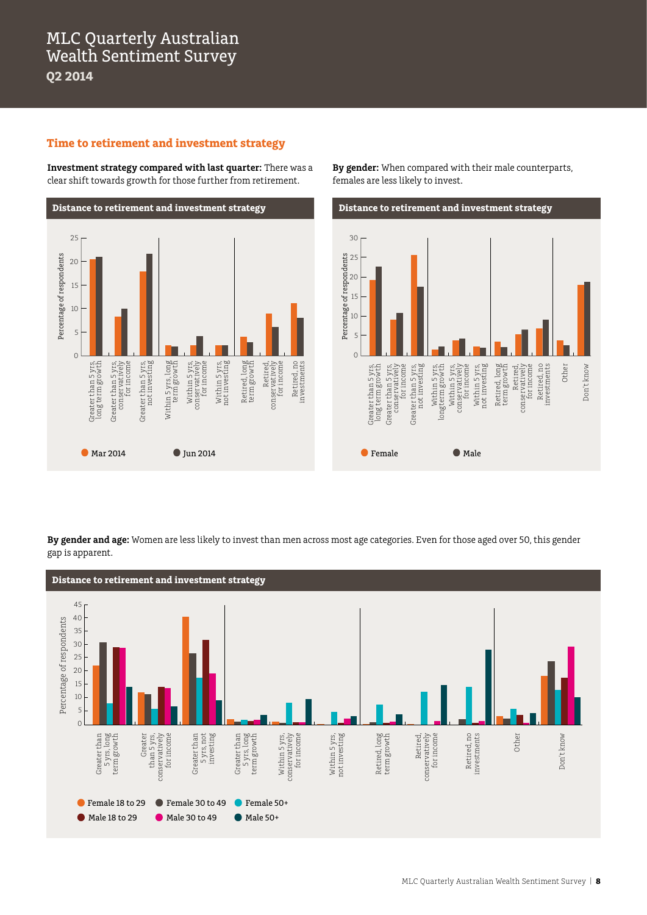### **Time to retirement and investment strategy**

**Investment strategy compared with last quarter:** There was a clear shift towards growth for those further from retirement.



**By gender:** When compared with their male counterparts, females are less likely to invest.



**By gender and age:** Women are less likely to invest than men across most age categories. Even for those aged over 50, this gender gap is apparent.

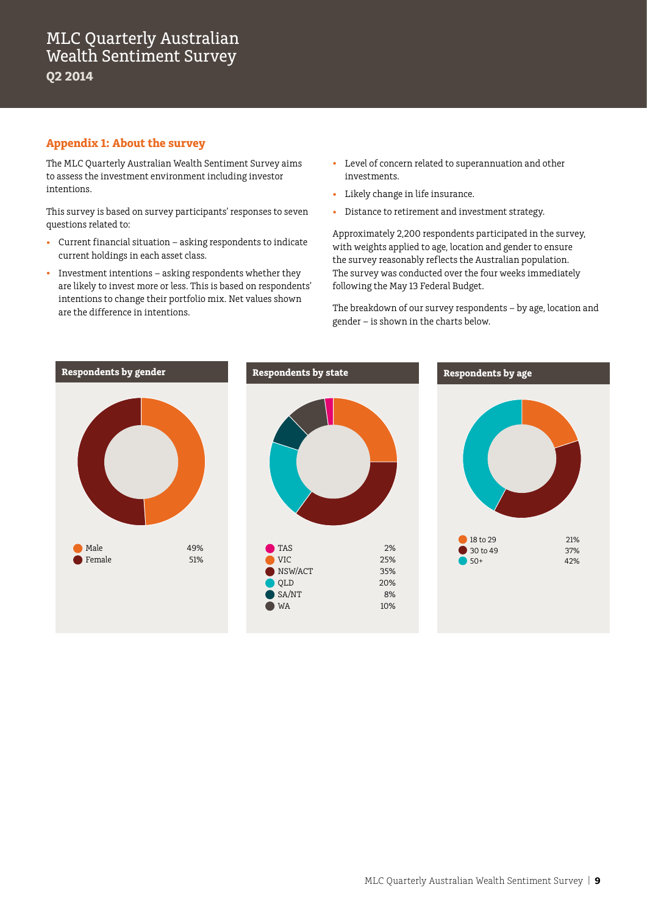### **Appendix 1: About the survey**

The MLC Quarterly Australian Wealth Sentiment Survey aims to assess the investment environment including investor intentions.

This survey is based on survey participants' responses to seven questions related to:

- • Current financial situation asking respondents to indicate current holdings in each asset class.
- Investment intentions asking respondents whether they are likely to invest more or less. This is based on respondents' intentions to change their portfolio mix. Net values shown are the difference in intentions.
- • Level of concern related to superannuation and other investments.
- • Likely change in life insurance.
- • Distance to retirement and investment strategy.

Approximately 2,200 respondents participated in the survey, with weights applied to age, location and gender to ensure the survey reasonably reflects the Australian population. The survey was conducted over the four weeks immediately following the May 13 Federal Budget.

The breakdown of our survey respondents – by age, location and gender – is shown in the charts below.